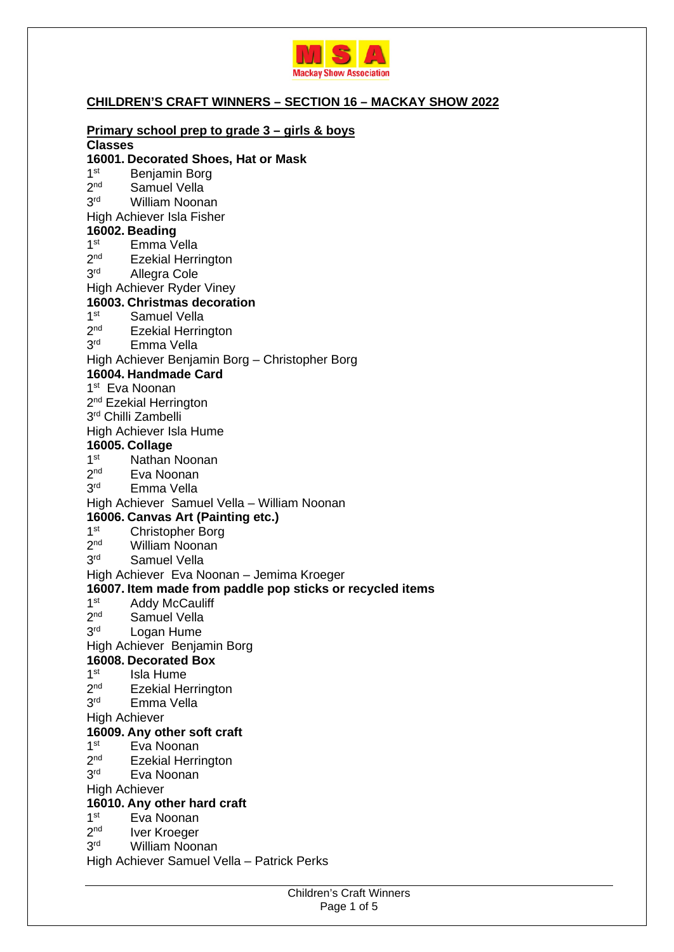

## **CHILDREN'S CRAFT WINNERS – SECTION 16 – MACKAY SHOW 2022**

|                                                                                                        | Primary school prep to grade 3 - girls & boys                 |  |
|--------------------------------------------------------------------------------------------------------|---------------------------------------------------------------|--|
| <b>Classes</b>                                                                                         |                                                               |  |
|                                                                                                        | 16001. Decorated Shoes, Hat or Mask                           |  |
|                                                                                                        | 1 <sup>st</sup> Benjamin Borg<br>2 <sup>nd</sup> Samuel Vella |  |
|                                                                                                        |                                                               |  |
| 3 <sup>rd</sup>                                                                                        | <b>William Noonan</b>                                         |  |
|                                                                                                        | High Achiever Isla Fisher                                     |  |
|                                                                                                        | 16002. Beading                                                |  |
|                                                                                                        | 1 <sup>st</sup> Emma Vella                                    |  |
|                                                                                                        | 2 <sup>nd</sup> Ezekial Herrington                            |  |
| 3 <sup>rd</sup>                                                                                        | Allegra Cole                                                  |  |
| High Achiever Ryder Viney                                                                              |                                                               |  |
|                                                                                                        | 16003. Christmas decoration                                   |  |
| 1 <sup>st</sup>                                                                                        | Samuel Vella                                                  |  |
| 2 <sup>nd</sup>                                                                                        | <b>Ezekial Herrington</b>                                     |  |
| 3 <sup>rd</sup>                                                                                        | Emma Vella                                                    |  |
|                                                                                                        | High Achiever Benjamin Borg - Christopher Borg                |  |
| 16004. Handmade Card                                                                                   |                                                               |  |
|                                                                                                        | 1 <sup>st</sup> Eva Noonan                                    |  |
|                                                                                                        | 2 <sup>nd</sup> Ezekial Herrington                            |  |
|                                                                                                        | 3rd Chilli Zambelli                                           |  |
|                                                                                                        | High Achiever Isla Hume                                       |  |
|                                                                                                        | 16005. Collage                                                |  |
|                                                                                                        | 1 <sup>st</sup> Nathan Noonan                                 |  |
| 2 <sup>nd</sup>                                                                                        | Eva Noonan                                                    |  |
| 3 <sup>rd</sup>                                                                                        | Emma Vella                                                    |  |
|                                                                                                        | High Achiever Samuel Vella - William Noonan                   |  |
|                                                                                                        | 16006. Canvas Art (Painting etc.)                             |  |
|                                                                                                        | 1 <sup>st</sup> Christopher Borg                              |  |
|                                                                                                        | 2 <sup>nd</sup> William Noonan                                |  |
| 3 <sup>rd</sup>                                                                                        | <b>Samuel Vella</b>                                           |  |
|                                                                                                        |                                                               |  |
| High Achiever Eva Noonan - Jemima Kroeger<br>16007. Item made from paddle pop sticks or recycled items |                                                               |  |
| 1 <sup>st</sup>                                                                                        | <b>Addy McCauliff</b>                                         |  |
| 2 <sup>nd</sup>                                                                                        | Samuel Vella                                                  |  |
| 3 <sup>rd</sup>                                                                                        |                                                               |  |
|                                                                                                        | Logan Hume                                                    |  |
|                                                                                                        | High Achiever Benjamin Borg                                   |  |
|                                                                                                        | 16008. Decorated Box                                          |  |
| 1 <sup>st</sup>                                                                                        | Isla Hume                                                     |  |
| 2 <sup>nd</sup>                                                                                        | <b>Ezekial Herrington</b>                                     |  |
| 3 <sup>rd</sup>                                                                                        | Emma Vella                                                    |  |
| <b>High Achiever</b>                                                                                   |                                                               |  |
|                                                                                                        | 16009. Any other soft craft                                   |  |
| 1 <sup>st</sup>                                                                                        | Eva Noonan                                                    |  |
| $2^{\text{nd}}$                                                                                        | <b>Ezekial Herrington</b>                                     |  |
| 3 <sup>rd</sup>                                                                                        | Eva Noonan                                                    |  |
| <b>High Achiever</b>                                                                                   |                                                               |  |
|                                                                                                        | 16010. Any other hard craft                                   |  |
| 1 <sup>st</sup>                                                                                        | Eva Noonan                                                    |  |
| 2 <sup>nd</sup>                                                                                        | Iver Kroeger                                                  |  |
| 3 <sup>rd</sup>                                                                                        | <b>William Noonan</b>                                         |  |
|                                                                                                        | High Achiever Samuel Vella - Patrick Perks                    |  |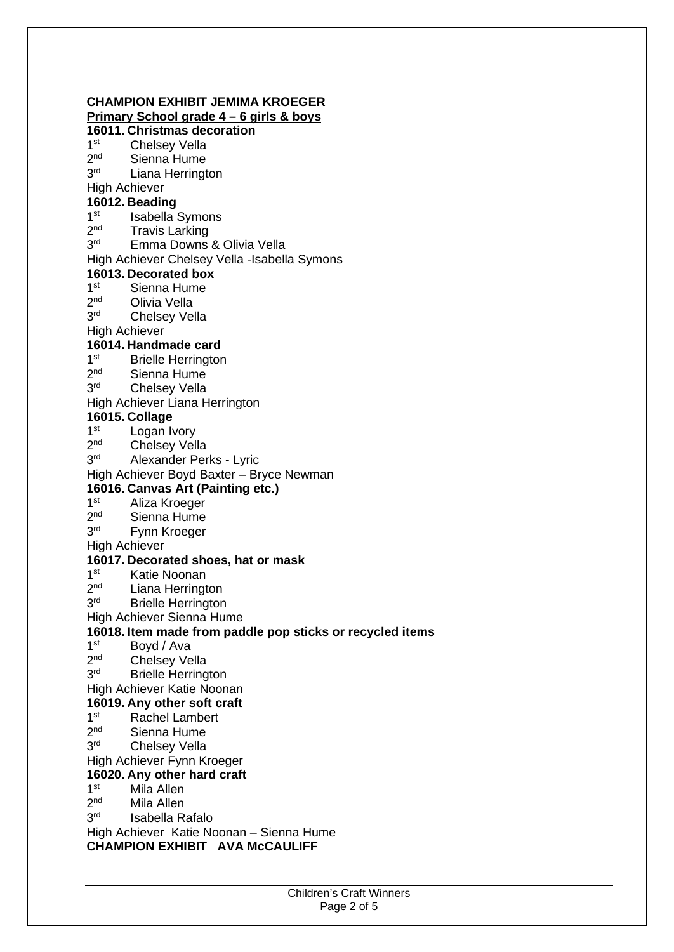# **CHAMPION EXHIBIT JEMIMA KROEGER**

**Primary School grade 4 – 6 girls & boys** 

# **16011. Christmas decoration**

 $1<sup>st</sup>$ **Chelsey Vella** 

- $2<sub>nd</sub>$ Sienna Hume
- $3<sup>rd</sup>$ Liana Herrington

High Achiever

# **16012. Beading**

- $1<sup>st</sup>$ Isabella Symons
- $2<sup>nd</sup>$ **Travis Larking**
- 3rd Emma Downs & Olivia Vella

#### High Achiever Chelsey Vella -Isabella Symons

#### **16013. Decorated box**

- $1<sup>st</sup>$ Sienna Hume
- $2<sub>nd</sub>$ **Olivia Vella**
- 3<sup>rd</sup> **Chelsey Vella**

High Achiever

## **16014. Handmade card**

- $1<sup>st</sup>$ **Brielle Herrington**
- $2<sup>nd</sup>$ Sienna Hume
- $3<sup>rd</sup>$ Chelsey Vella

#### High Achiever Liana Herrington

#### **16015. Collage**

- $1<sup>st</sup>$ Logan Ivory
- $2<sub>nd</sub>$ Chelsey Vella
- 3rd Alexander Perks - Lyric

#### High Achiever Boyd Baxter – Bryce Newman

#### **16016. Canvas Art (Painting etc.)**

- $1<sup>st</sup>$ Aliza Kroeger
- $2<sup>nd</sup>$ Sienna Hume
- 3rd Fynn Kroeger

#### High Achiever

#### **16017. Decorated shoes, hat or mask**

- $1<sup>st</sup>$ Katie Noonan
- $2<sub>nd</sub>$ Liana Herrington
- 3rd **Brielle Herrington**

#### High Achiever Sienna Hume

#### **16018. Item made from paddle pop sticks or recycled items**

- $1<sup>st</sup>$ Boyd / Ava
- $2<sub>nd</sub>$ **Chelsey Vella**
- 3rd **Brielle Herrington**
- High Achiever Katie Noonan

#### **16019. Any other soft craft**

- $1<sup>st</sup>$ Rachel Lambert
- $2<sub>nd</sub>$ Sienna Hume
- $3<sup>rd</sup>$ **Chelsey Vella**

#### High Achiever Fynn Kroeger

#### **16020. Any other hard craft**

#### $1<sup>st</sup>$ Mila Allen

- $2<sup>nd</sup>$ Mila Allen
- 3rd Isabella Rafalo

High Achiever Katie Noonan – Sienna Hume

#### **CHAMPION EXHIBIT AVA McCAULIFF**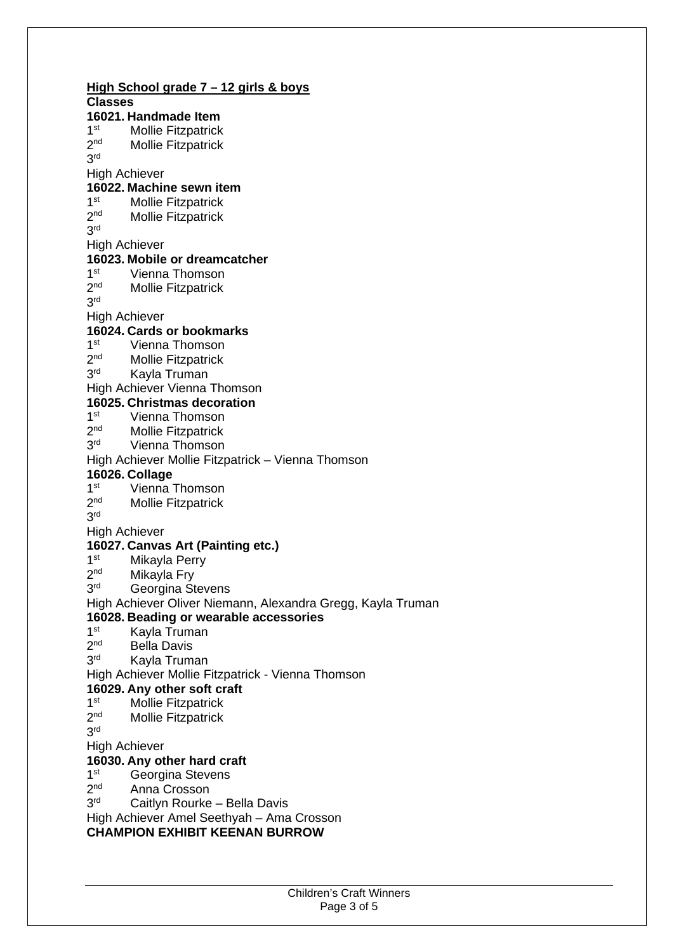**High School grade 7 – 12 girls & boys Classes 16021. Handmade Item**   $1<sup>st</sup>$ Mollie Fitzpatrick  $2<sub>nd</sub>$ Mollie Fitzpatrick 3 rd High Achiever **16022. Machine sewn item**   $1st$ **Mollie Fitzpatrick**  $2<sub>nd</sub>$ Mollie Fitzpatrick 3 rd High Achiever **16023. Mobile or dreamcatcher**   $1<sup>st</sup>$ Vienna Thomson  $2<sup>nd</sup>$ Mollie Fitzpatrick 3 rd High Achiever **16024. Cards or bookmarks**   $1<sup>st</sup>$ Vienna Thomson  $2<sub>nd</sub>$ Mollie Fitzpatrick 3rd Kayla Truman High Achiever Vienna Thomson **16025. Christmas decoration**   $1<sup>st</sup>$ Vienna Thomson  $2<sub>nd</sub>$ Mollie Fitzpatrick 3rd Vienna Thomson High Achiever Mollie Fitzpatrick – Vienna Thomson **16026. Collage**   $1<sup>st</sup>$ Vienna Thomson  $2<sub>nd</sub>$ Mollie Fitzpatrick 3 rd High Achiever **16027. Canvas Art (Painting etc.)**   $1<sup>st</sup>$ Mikayla Perry  $2<sub>nd</sub>$ Mikayla Fry 3rd Georgina Stevens High Achiever Oliver Niemann, Alexandra Gregg, Kayla Truman **16028. Beading or wearable accessories**   $1<sup>st</sup>$ Kayla Truman  $2<sup>nd</sup>$ **Bella Davis** 3rd Kayla Truman High Achiever Mollie Fitzpatrick - Vienna Thomson **16029. Any other soft craft**   $1<sup>st</sup>$ Mollie Fitzpatrick  $2<sub>nd</sub>$ Mollie Fitzpatrick 3 rd High Achiever **16030. Any other hard craft**   $1<sup>st</sup>$ Georgina Stevens  $2<sub>nd</sub>$ Anna Crosson 3rd Caitlyn Rourke – Bella Davis High Achiever Amel Seethyah – Ama Crosson

**CHAMPION EXHIBIT KEENAN BURROW**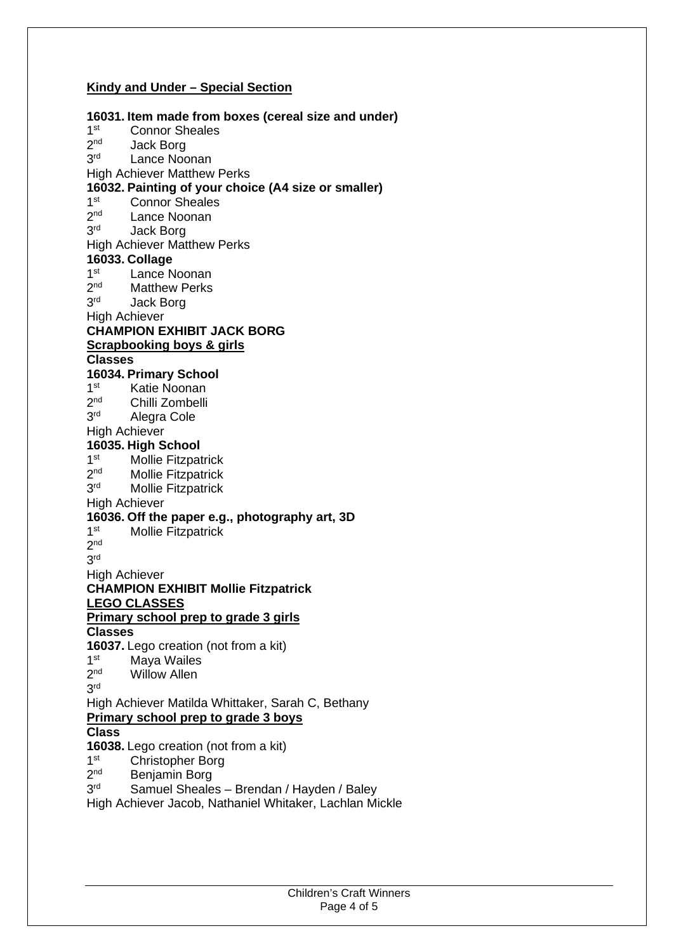### **Kindy and Under – Special Section**

**16031. Item made from boxes (cereal size and under)**   $1<sup>st</sup>$ Connor Sheales  $2<sub>nd</sub>$ Jack Borg 3rd Lance Noonan High Achiever Matthew Perks **16032. Painting of your choice (A4 size or smaller)**   $1st$ Connor Sheales  $2<sub>nd</sub>$ Lance Noonan 3rd **Jack Borg** High Achiever Matthew Perks **16033. Collage**   $1<sup>st</sup>$ Lance Noonan  $2<sup>nd</sup>$ **Matthew Perks** 3rd **Jack Borg** High Achiever **CHAMPION EXHIBIT JACK BORG Scrapbooking boys & girls Classes 16034. Primary School**   $1<sup>st</sup>$ Katie Noonan  $2<sup>nd</sup>$ Chilli Zombelli 3rd Alegra Cole High Achiever **16035. High School**   $1<sup>st</sup>$ Mollie Fitzpatrick  $2<sub>nd</sub>$ Mollie Fitzpatrick 3rd **Mollie Fitzpatrick** High Achiever **16036. Off the paper e.g., photography art, 3D**   $1<sup>st</sup>$ **Mollie Fitzpatrick** 2 nd 3 rd High Achiever **CHAMPION EXHIBIT Mollie Fitzpatrick LEGO CLASSES Primary school prep to grade 3 girls Classes 16037.** Lego creation (not from a kit)  $1<sup>st</sup>$ **Maya Wailes**  $2<sub>nd</sub>$ Willow Allen 3 rd High Achiever Matilda Whittaker, Sarah C, Bethany **Primary school prep to grade 3 boys Class 16038.** Lego creation (not from a kit)  $1<sup>st</sup>$ Christopher Borg  $2<sub>nd</sub>$ Benjamin Borg 3rd Samuel Sheales – Brendan / Hayden / Baley High Achiever Jacob, Nathaniel Whitaker, Lachlan Mickle